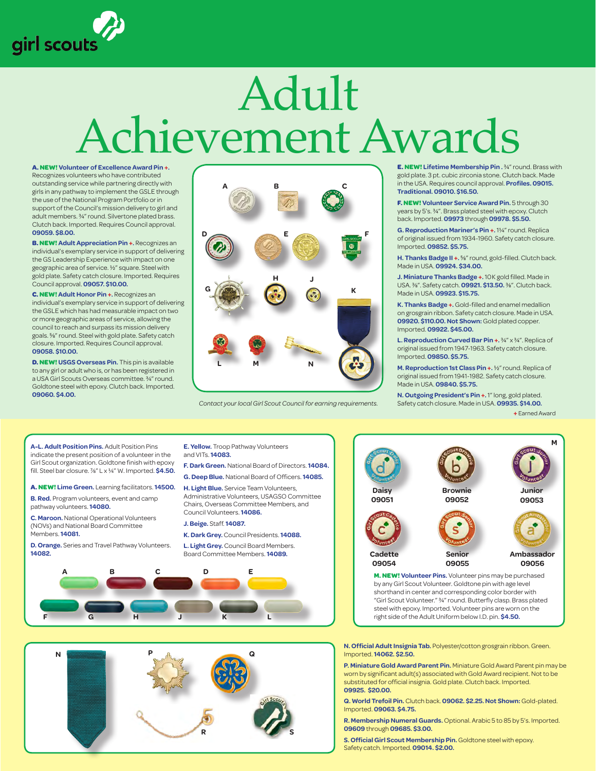

## Adult Achievement Awards

**A. NEW! Volunteer of Excellence Award Pin +.**  Recognizes volunteers who have contributed outstanding service while partnering directly with

girls in any pathway to implement the GSLE through the use of the National Program Portfolio or in support of the Council's mission delivery to girl and adult members. ¾" round. Silvertone plated brass. Clutch back. Imported. Requires Council approval. **09059. \$8.00.**

**B. NEW! Adult Appreciation Pin +.** Recognizes an individual's exemplary service in support of delivering the GS Leadership Experience with impact on one geographic area of service. ½" square. Steel with gold plate. Safety catch closure. Imported. Requires Council approval. **09057. \$10.00.**

**C. NEW! Adult Honor Pin +.** Recognizes an individual's exemplary service in support of delivering the GSLE which has had measurable impact on two or more geographic areas of service, allowing the council to reach and surpass its mission delivery goals. 5%" round. Steel with gold plate. Safety catch closure. Imported. Requires Council approval. **09058. \$10.00.**

**D. NEW! USGS Overseas Pin.** This pin is available to any girl or adult who is, or has been registered in a USA Girl Scouts Overseas committee. ¾" round. Goldtone steel with epoxy. Clutch back. Imported. **09060. \$4.00.**



*Contact your local Girl Scout Council for earning requirements.* 

**E. NEW! Lifetime Membership Pin .** ¾" round. Brass with gold plate. 3 pt. cubic zirconia stone. Clutch back. Made in the USA. Requires council approval. **Profiles. 09015. Traditional. 09010. \$16.50.**

**F. NEW! Volunteer Service Award Pin.** 5 through 30 years by 5's. ¾". Brass plated steel with epoxy. Clutch back. Imported. **09973** through **09978. \$5.50.**

**G. Reproduction Mariner's Pin +.** 1¼" round. Replica of original issued from 1934-1960. Safety catch closure. Imported. **09852. \$5.75.**

**H. Thanks Badge II +.** 5/8" round, gold-filled. Clutch back. Made in USA. **09924. \$34.00.**

**J. Miniature Thanks Badge +.** 10 K gold filled. Made in USA. 3/8". Safety catch. **09921. \$13.50.** 3/8". Clutch back. Made in USA. **09923. \$15.75.**

**K. Thanks Badge +.** Gold-filled and enamel medallion on grosgrain ribbon. Safety catch closure. Made in USA. **09920. \$110.00. Not Shown:** Gold plated copper. Imported. **09922. \$45.00.**

**L. Reproduction Curved Bar Pin +.** ¾" x ¾". Replica of original issued from 1947-1963. Safety catch closure. Imported. **09850. \$5.75.**

**M. Reproduction 1st Class Pin +.** ½" round. Replica of original issued from 1941-1982. Safety catch closure. Made in USA. **09840. \$5.75.**

**N. Outgoing President's Pin +.** 1" long, gold plated. Safety catch closure. Made in USA. **09935. \$14.00.**

**+** Earned Award

**A-L. Adult Position Pins.** Adult Position Pins indicate the present position of a volunteer in the Girl Scout organization. Goldtone finish with epoxy fill. Steel bar closure. 7/8" L x ¼" W. Imported. **\$4.50.**

**A. NEW! Lime Green.** Learning facilitators. **14500.**

**B. Red.** Program volunteers, event and camp pathway volunteers. **14080.**

**C. Maroon.** National Operational Volunteers (NOVs) and National Board Committee Members. **14081.**

**D. Orange.** Series and Travel Pathway Volunteers. **14082.**

**E. Yellow.** Troop Pathway Volunteers and VITs. **14083.**

- **F. Dark Green.** National Board of Directors. **14084.**
- **G. Deep Blue.** National Board of Officers. **14085.**

**H. Light Blue.** Service Team Volunteers, Administrative Volunteers, USAGSO Committee Chairs, Overseas Committee Members, and Council Volunteers. **14086.**

## **J. Beige.** Staff. **14087.**

**K. Dark Grey.** Council Presidents. **14088.**

**L. Light Grey.** Council Board Members. Board Committee Members. **14089.**







by any Girl Scout Volunteer. Goldtone pin with age level shorthand in center and corresponding color border with "Girl Scout Volunteer." ¾" round. Butterfly clasp. Brass plated steel with epoxy. Imported. Volunteer pins are worn on the right side of the Adult Uniform below I.D. pin. **\$4.50.**

**N. Official Adult Insignia Tab.** Polyester/cotton grosgrain ribbon. Green. Imported. **14062. \$2.50.**

**P. Miniature Gold Award Parent Pin.** Miniature Gold Award Parent pin may be worn by significant adult(s) associated with Gold Award recipient. Not to be substituted for official insignia. Gold plate. Clutch back. Imported. **09925. \$20.00.**

**Q. World Trefoil Pin.** Clutch back. **09062. \$2.25.Not Shown:** Gold-plated. Imported. **09063. \$4.75.**

**R. Membership Numeral Guards.** Optional. Arabic 5 to 85 by 5's. Imported. **09609** through **09685. \$3.00.**

**S. Official Girl Scout Membership Pin.** Goldtone steel with epoxy. Safety catch. Imported. **09014. \$2.00.**